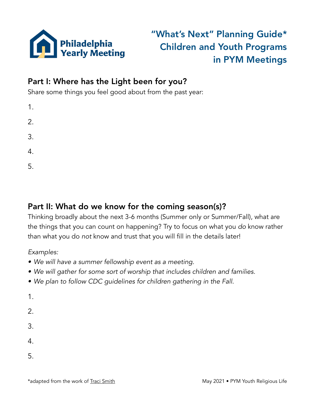

## "What's Next" Planning Guide\* Children and Youth Programs in PYM Meetings

## Part I: Where has the Light been for you?

Share some things you feel good about from the past year:

| 1. |  |  |
|----|--|--|
| 2. |  |  |
| 3. |  |  |
| 4. |  |  |
| 5. |  |  |

## Part II: What do we know for the coming season(s)?

Thinking broadly about the next 3-6 months (Summer only or Summer/Fall), what are the things that you can count on happening? Try to focus on what you *do* know rather than what you do *not* know and trust that you will fill in the details later!

*Examples:* 

- *• We will have a summer fellowship event as a meeting.*
- *• We will gather for some sort of worship that includes children and families.*
- *• We plan to follow CDC guidelines for children gathering in the Fall.*

1.

2.

3.

4.

5.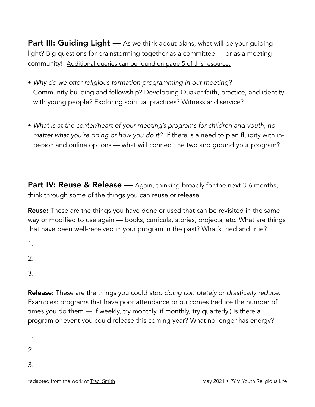**Part III: Guiding Light** — As we think about plans, what will be your guiding light? Big questions for brainstorming together as a committee — or as a meeting community! [Additional queries can be found on page 5 of this resource.](http://www.pym.org/wp-content/uploads/2021/05/Looking-Back-Ahead-with-RE-5_21.pdf)

- *Why do we offer religious formation programming in our meeting?*  Community building and fellowship? Developing Quaker faith, practice, and identity with young people? Exploring spiritual practices? Witness and service?
- *What is at the center/heart of your meeting's programs for children and youth, no matter what you're doing or how you do it?* If there is a need to plan fluidity with inperson and online options — what will connect the two and ground your program?

**Part IV: Reuse & Release** — Again, thinking broadly for the next 3-6 months, think through some of the things you can reuse or release.

**Reuse:** These are the things you have done or used that can be revisited in the same way or modified to use again — books, curricula, stories, projects, etc. What are things that have been well-received in your program in the past? What's tried and true?

1.

2.

3.

Release: These are the things you could *stop doing completely* or *drastically reduce*. Examples: programs that have poor attendance or outcomes (reduce the number of times you do them — if weekly, try monthly, if monthly, try quarterly.) Is there a program or event you could release this coming year? What no longer has energy?

1.

2.

3.